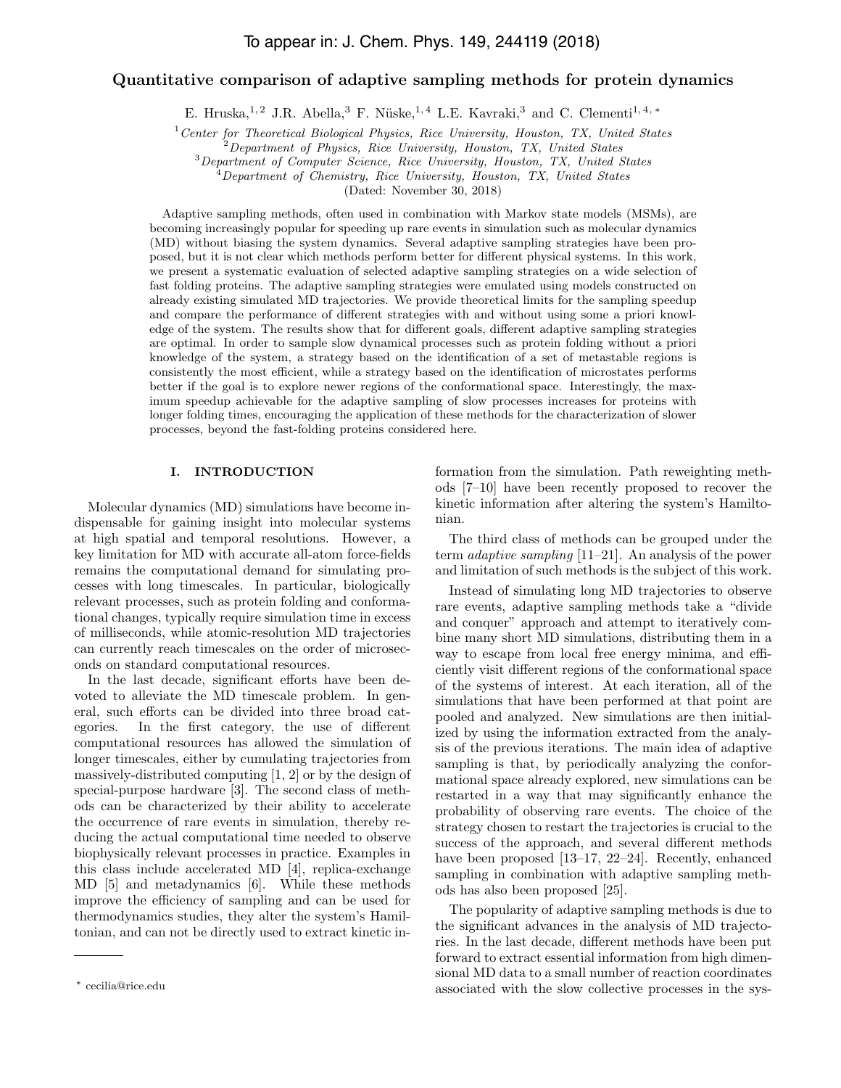# To appear in: J. Chem. Phys. 149, 244119 (2018)

# Quantitative comparison of adaptive sampling methods for protein dynamics

E. Hruska,<sup>1, 2</sup> J.R. Abella,<sup>3</sup> F. Nüske,<sup>1, 4</sup> L.E. Kavraki,<sup>3</sup> and C. Clementi<sup>1, 4, \*</sup>

 $1$ <sup>1</sup> Center for Theoretical Biological Physics, Rice University, Houston, TX, United States

 ${}^{2}$ Department of Physics, Rice University, Houston, TX, United States

<sup>3</sup>Department of Computer Science, Rice University, Houston, TX, United States

 $^{4}$ Department of Chemistry, Rice University, Houston, TX, United States

(Dated: November 30, 2018)

Adaptive sampling methods, often used in combination with Markov state models (MSMs), are becoming increasingly popular for speeding up rare events in simulation such as molecular dynamics (MD) without biasing the system dynamics. Several adaptive sampling strategies have been proposed, but it is not clear which methods perform better for different physical systems. In this work, we present a systematic evaluation of selected adaptive sampling strategies on a wide selection of fast folding proteins. The adaptive sampling strategies were emulated using models constructed on already existing simulated MD trajectories. We provide theoretical limits for the sampling speedup and compare the performance of different strategies with and without using some a priori knowledge of the system. The results show that for different goals, different adaptive sampling strategies are optimal. In order to sample slow dynamical processes such as protein folding without a priori knowledge of the system, a strategy based on the identification of a set of metastable regions is consistently the most efficient, while a strategy based on the identification of microstates performs better if the goal is to explore newer regions of the conformational space. Interestingly, the maximum speedup achievable for the adaptive sampling of slow processes increases for proteins with longer folding times, encouraging the application of these methods for the characterization of slower processes, beyond the fast-folding proteins considered here.

### I. INTRODUCTION

Molecular dynamics (MD) simulations have become indispensable for gaining insight into molecular systems at high spatial and temporal resolutions. However, a key limitation for MD with accurate all-atom force-fields remains the computational demand for simulating processes with long timescales. In particular, biologically relevant processes, such as protein folding and conformational changes, typically require simulation time in excess of milliseconds, while atomic-resolution MD trajectories can currently reach timescales on the order of microseconds on standard computational resources.

In the last decade, significant efforts have been devoted to alleviate the MD timescale problem. In general, such efforts can be divided into three broad categories. In the first category, the use of different computational resources has allowed the simulation of longer timescales, either by cumulating trajectories from massively-distributed computing [1, 2] or by the design of special-purpose hardware [3]. The second class of methods can be characterized by their ability to accelerate the occurrence of rare events in simulation, thereby reducing the actual computational time needed to observe biophysically relevant processes in practice. Examples in this class include accelerated MD [4], replica-exchange MD [5] and metadynamics [6]. While these methods improve the efficiency of sampling and can be used for thermodynamics studies, they alter the system's Hamiltonian, and can not be directly used to extract kinetic in-

formation from the simulation. Path reweighting methods [7–10] have been recently proposed to recover the kinetic information after altering the system's Hamiltonian.

The third class of methods can be grouped under the term adaptive sampling [11–21]. An analysis of the power and limitation of such methods is the subject of this work.

Instead of simulating long MD trajectories to observe rare events, adaptive sampling methods take a "divide and conquer" approach and attempt to iteratively combine many short MD simulations, distributing them in a way to escape from local free energy minima, and efficiently visit different regions of the conformational space of the systems of interest. At each iteration, all of the simulations that have been performed at that point are pooled and analyzed. New simulations are then initialized by using the information extracted from the analysis of the previous iterations. The main idea of adaptive sampling is that, by periodically analyzing the conformational space already explored, new simulations can be restarted in a way that may significantly enhance the probability of observing rare events. The choice of the strategy chosen to restart the trajectories is crucial to the success of the approach, and several different methods have been proposed [13–17, 22–24]. Recently, enhanced sampling in combination with adaptive sampling methods has also been proposed [25].

The popularity of adaptive sampling methods is due to the significant advances in the analysis of MD trajectories. In the last decade, different methods have been put forward to extract essential information from high dimensional MD data to a small number of reaction coordinates associated with the slow collective processes in the sys-

<sup>∗</sup> cecilia@rice.edu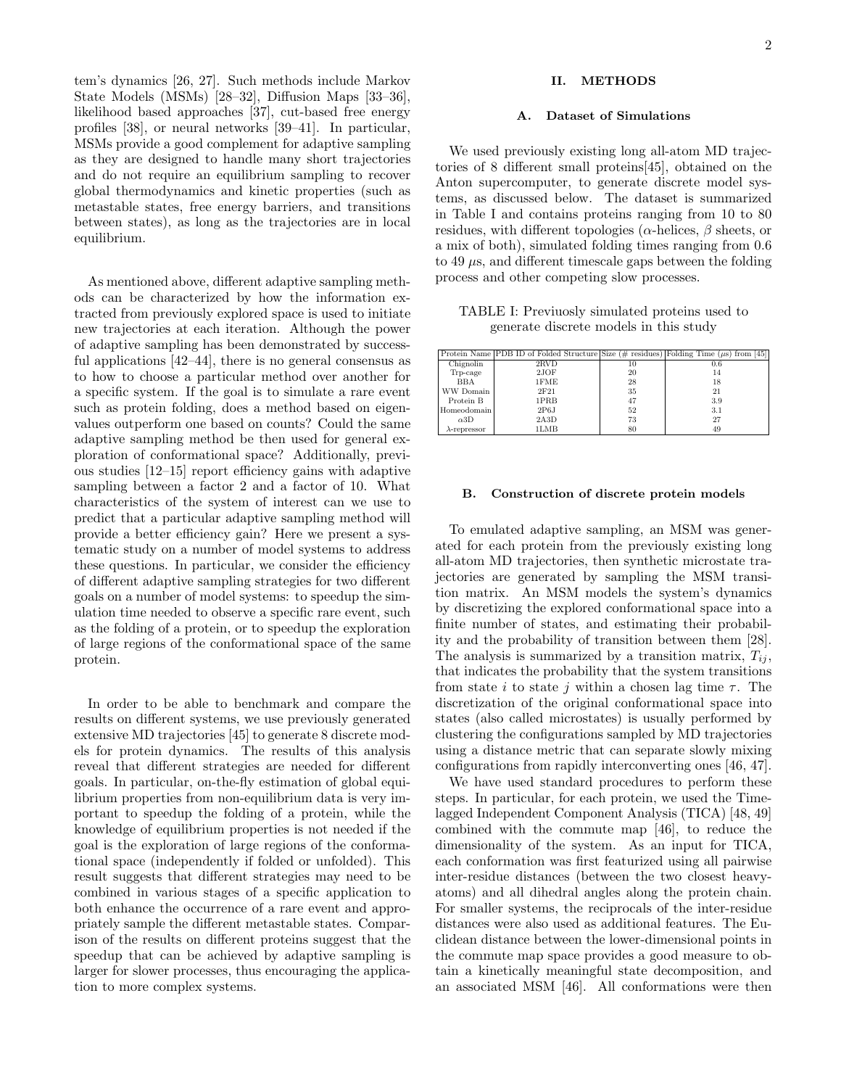tem's dynamics [26, 27]. Such methods include Markov State Models (MSMs) [28–32], Diffusion Maps [33–36], likelihood based approaches [37], cut-based free energy profiles [38], or neural networks [39–41]. In particular, MSMs provide a good complement for adaptive sampling as they are designed to handle many short trajectories and do not require an equilibrium sampling to recover global thermodynamics and kinetic properties (such as metastable states, free energy barriers, and transitions between states), as long as the trajectories are in local equilibrium.

As mentioned above, different adaptive sampling methods can be characterized by how the information extracted from previously explored space is used to initiate new trajectories at each iteration. Although the power of adaptive sampling has been demonstrated by successful applications [42–44], there is no general consensus as to how to choose a particular method over another for a specific system. If the goal is to simulate a rare event such as protein folding, does a method based on eigenvalues outperform one based on counts? Could the same adaptive sampling method be then used for general exploration of conformational space? Additionally, previous studies [12–15] report efficiency gains with adaptive sampling between a factor 2 and a factor of 10. What characteristics of the system of interest can we use to predict that a particular adaptive sampling method will provide a better efficiency gain? Here we present a systematic study on a number of model systems to address these questions. In particular, we consider the efficiency of different adaptive sampling strategies for two different goals on a number of model systems: to speedup the simulation time needed to observe a specific rare event, such as the folding of a protein, or to speedup the exploration of large regions of the conformational space of the same protein.

In order to be able to benchmark and compare the results on different systems, we use previously generated extensive MD trajectories [45] to generate 8 discrete models for protein dynamics. The results of this analysis reveal that different strategies are needed for different goals. In particular, on-the-fly estimation of global equilibrium properties from non-equilibrium data is very important to speedup the folding of a protein, while the knowledge of equilibrium properties is not needed if the goal is the exploration of large regions of the conformational space (independently if folded or unfolded). This result suggests that different strategies may need to be combined in various stages of a specific application to both enhance the occurrence of a rare event and appropriately sample the different metastable states. Comparison of the results on different proteins suggest that the speedup that can be achieved by adaptive sampling is larger for slower processes, thus encouraging the application to more complex systems.

# II. METHODS

#### A. Dataset of Simulations

We used previously existing long all-atom MD trajectories of 8 different small proteins[45], obtained on the Anton supercomputer, to generate discrete model systems, as discussed below. The dataset is summarized in Table I and contains proteins ranging from 10 to 80 residues, with different topologies ( $\alpha$ -helices,  $\beta$  sheets, or a mix of both), simulated folding times ranging from 0.6 to 49  $\mu$ s, and different timescale gaps between the folding process and other competing slow processes.

TABLE I: Previuosly simulated proteins used to generate discrete models in this study

|                      | Protein Name PDB ID of Folded Structure Size (# residues) Folding Time $(\mu s)$ from [45] |    |     |
|----------------------|--------------------------------------------------------------------------------------------|----|-----|
| Chignolin            | 2RVD                                                                                       | 10 | 0.6 |
| Trp-cage             | 2JOF                                                                                       | 20 | 14  |
| <b>BBA</b>           | 1FME                                                                                       | 28 | 18  |
| WW Domain            | 2F21                                                                                       | 35 | 21  |
| Protein B            | 1PRB                                                                                       | 47 | 3.9 |
| Homeodomain          | 2P6J                                                                                       | 52 | 3.1 |
| $\alpha 3D$          | 2A3D                                                                                       | 73 | 27  |
| $\lambda$ -repressor | 1LMB                                                                                       | 80 | 49  |

#### B. Construction of discrete protein models

To emulated adaptive sampling, an MSM was generated for each protein from the previously existing long all-atom MD trajectories, then synthetic microstate trajectories are generated by sampling the MSM transition matrix. An MSM models the system's dynamics by discretizing the explored conformational space into a finite number of states, and estimating their probability and the probability of transition between them [28]. The analysis is summarized by a transition matrix,  $T_{ij}$ , that indicates the probability that the system transitions from state i to state j within a chosen lag time  $\tau$ . The discretization of the original conformational space into states (also called microstates) is usually performed by clustering the configurations sampled by MD trajectories using a distance metric that can separate slowly mixing configurations from rapidly interconverting ones [46, 47].

We have used standard procedures to perform these steps. In particular, for each protein, we used the Timelagged Independent Component Analysis (TICA) [48, 49] combined with the commute map [46], to reduce the dimensionality of the system. As an input for TICA, each conformation was first featurized using all pairwise inter-residue distances (between the two closest heavyatoms) and all dihedral angles along the protein chain. For smaller systems, the reciprocals of the inter-residue distances were also used as additional features. The Euclidean distance between the lower-dimensional points in the commute map space provides a good measure to obtain a kinetically meaningful state decomposition, and an associated MSM [46]. All conformations were then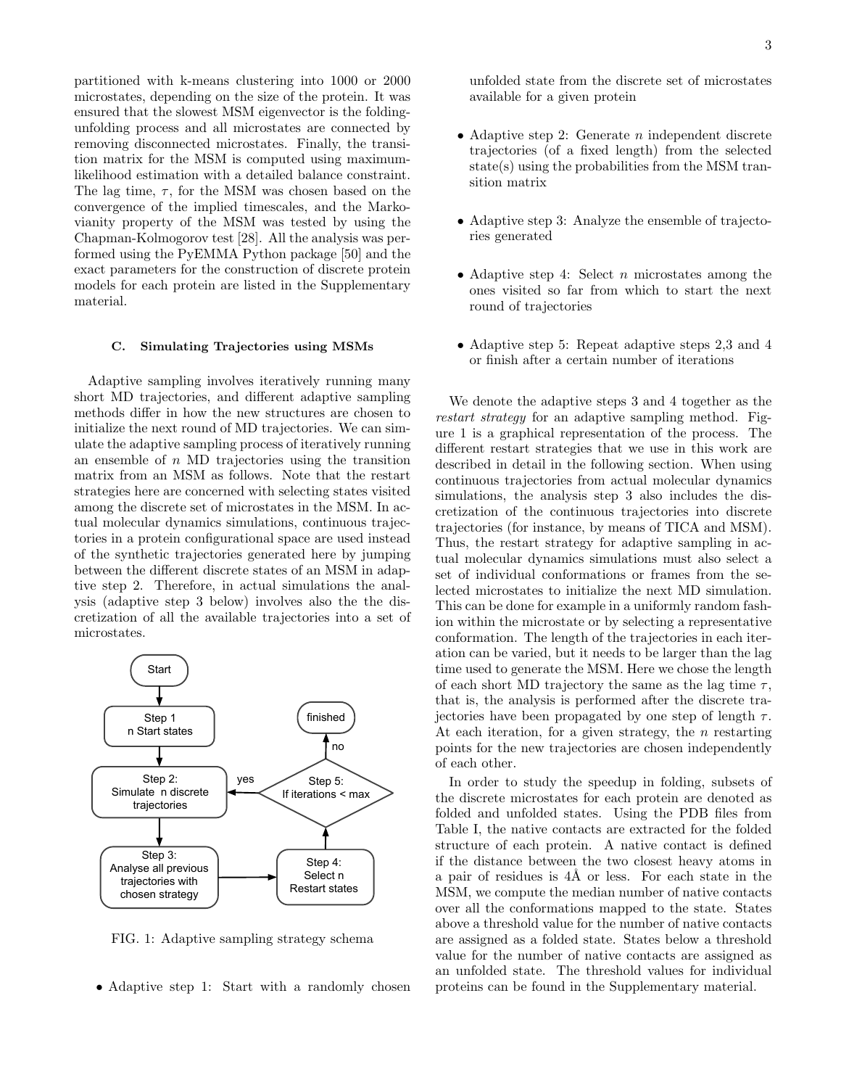partitioned with k-means clustering into 1000 or 2000 microstates, depending on the size of the protein. It was ensured that the slowest MSM eigenvector is the foldingunfolding process and all microstates are connected by removing disconnected microstates. Finally, the transition matrix for the MSM is computed using maximumlikelihood estimation with a detailed balance constraint. The lag time,  $\tau$ , for the MSM was chosen based on the convergence of the implied timescales, and the Markovianity property of the MSM was tested by using the Chapman-Kolmogorov test [28]. All the analysis was performed using the PyEMMA Python package [50] and the exact parameters for the construction of discrete protein models for each protein are listed in the Supplementary material.

#### C. Simulating Trajectories using MSMs

Adaptive sampling involves iteratively running many short MD trajectories, and different adaptive sampling methods differ in how the new structures are chosen to initialize the next round of MD trajectories. We can simulate the adaptive sampling process of iteratively running an ensemble of  $n$  MD trajectories using the transition matrix from an MSM as follows. Note that the restart strategies here are concerned with selecting states visited among the discrete set of microstates in the MSM. In actual molecular dynamics simulations, continuous trajectories in a protein configurational space are used instead of the synthetic trajectories generated here by jumping between the different discrete states of an MSM in adaptive step 2. Therefore, in actual simulations the analysis (adaptive step 3 below) involves also the the discretization of all the available trajectories into a set of microstates.



FIG. 1: Adaptive sampling strategy schema

• Adaptive step 1: Start with a randomly chosen

unfolded state from the discrete set of microstates available for a given protein

- Adaptive step 2: Generate  $n$  independent discrete trajectories (of a fixed length) from the selected state(s) using the probabilities from the MSM transition matrix
- Adaptive step 3: Analyze the ensemble of trajectories generated
- Adaptive step 4: Select  $n$  microstates among the ones visited so far from which to start the next round of trajectories
- Adaptive step 5: Repeat adaptive steps 2,3 and 4 or finish after a certain number of iterations

We denote the adaptive steps 3 and 4 together as the restart strategy for an adaptive sampling method. Figure 1 is a graphical representation of the process. The different restart strategies that we use in this work are described in detail in the following section. When using continuous trajectories from actual molecular dynamics simulations, the analysis step 3 also includes the discretization of the continuous trajectories into discrete trajectories (for instance, by means of TICA and MSM). Thus, the restart strategy for adaptive sampling in actual molecular dynamics simulations must also select a set of individual conformations or frames from the selected microstates to initialize the next MD simulation. This can be done for example in a uniformly random fashion within the microstate or by selecting a representative conformation. The length of the trajectories in each iteration can be varied, but it needs to be larger than the lag time used to generate the MSM. Here we chose the length of each short MD trajectory the same as the lag time  $\tau$ , that is, the analysis is performed after the discrete trajectories have been propagated by one step of length  $\tau$ . At each iteration, for a given strategy, the  $n$  restarting points for the new trajectories are chosen independently of each other.

In order to study the speedup in folding, subsets of the discrete microstates for each protein are denoted as folded and unfolded states. Using the PDB files from Table I, the native contacts are extracted for the folded structure of each protein. A native contact is defined if the distance between the two closest heavy atoms in a pair of residues is  $4\text{\AA}$  or less. For each state in the MSM, we compute the median number of native contacts over all the conformations mapped to the state. States above a threshold value for the number of native contacts are assigned as a folded state. States below a threshold value for the number of native contacts are assigned as an unfolded state. The threshold values for individual proteins can be found in the Supplementary material.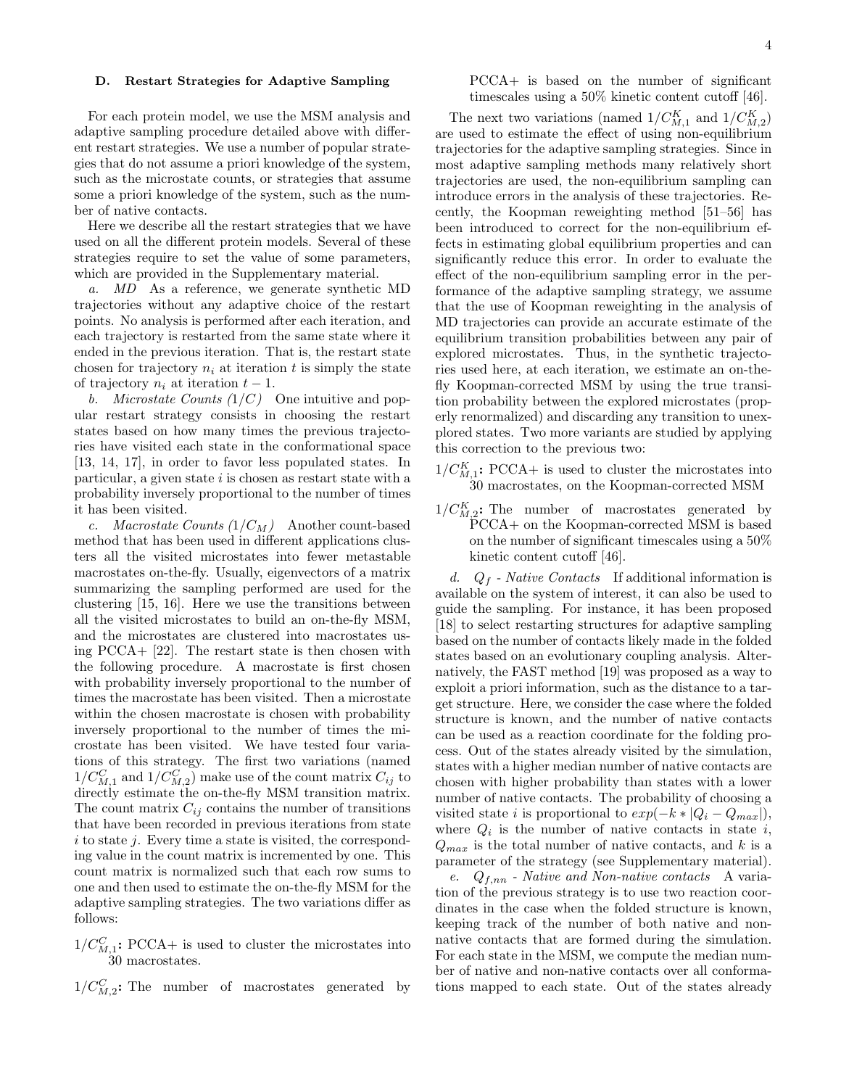### D. Restart Strategies for Adaptive Sampling

For each protein model, we use the MSM analysis and adaptive sampling procedure detailed above with different restart strategies. We use a number of popular strategies that do not assume a priori knowledge of the system, such as the microstate counts, or strategies that assume some a priori knowledge of the system, such as the number of native contacts.

Here we describe all the restart strategies that we have used on all the different protein models. Several of these strategies require to set the value of some parameters, which are provided in the Supplementary material.

a. MD As a reference, we generate synthetic MD trajectories without any adaptive choice of the restart points. No analysis is performed after each iteration, and each trajectory is restarted from the same state where it ended in the previous iteration. That is, the restart state chosen for trajectory  $n_i$  at iteration t is simply the state of trajectory  $n_i$  at iteration  $t-1$ .

b. Microstate Counts  $(1/C)$  One intuitive and popular restart strategy consists in choosing the restart states based on how many times the previous trajectories have visited each state in the conformational space [13, 14, 17], in order to favor less populated states. In particular, a given state  $i$  is chosen as restart state with a probability inversely proportional to the number of times it has been visited.

c. Macrostate Counts  $(1/C_M)$  Another count-based method that has been used in different applications clusters all the visited microstates into fewer metastable macrostates on-the-fly. Usually, eigenvectors of a matrix summarizing the sampling performed are used for the clustering [15, 16]. Here we use the transitions between all the visited microstates to build an on-the-fly MSM, and the microstates are clustered into macrostates using PCCA+ [22]. The restart state is then chosen with the following procedure. A macrostate is first chosen with probability inversely proportional to the number of times the macrostate has been visited. Then a microstate within the chosen macrostate is chosen with probability inversely proportional to the number of times the microstate has been visited. We have tested four variations of this strategy. The first two variations (named  $1/C_{M,1}^C$  and  $1/C_{M,2}^C$ ) make use of the count matrix  $C_{ij}$  to directly estimate the on-the-fly MSM transition matrix. The count matrix  $C_{ij}$  contains the number of transitions that have been recorded in previous iterations from state  $i$  to state j. Every time a state is visited, the corresponding value in the count matrix is incremented by one. This count matrix is normalized such that each row sums to one and then used to estimate the on-the-fly MSM for the adaptive sampling strategies. The two variations differ as follows:

 $1/C_{M,1}^C$ : PCCA+ is used to cluster the microstates into 30 macrostates.

 $1/C_{M,2}^C$ : The number of macrostates generated by

# PCCA+ is based on the number of significant timescales using a 50% kinetic content cutoff [46].

The next two variations (named  $1/C_{M,1}^K$  and  $1/C_{M,2}^K$ ) are used to estimate the effect of using non-equilibrium trajectories for the adaptive sampling strategies. Since in most adaptive sampling methods many relatively short trajectories are used, the non-equilibrium sampling can introduce errors in the analysis of these trajectories. Recently, the Koopman reweighting method [51–56] has been introduced to correct for the non-equilibrium effects in estimating global equilibrium properties and can significantly reduce this error. In order to evaluate the effect of the non-equilibrium sampling error in the performance of the adaptive sampling strategy, we assume that the use of Koopman reweighting in the analysis of MD trajectories can provide an accurate estimate of the equilibrium transition probabilities between any pair of explored microstates. Thus, in the synthetic trajectories used here, at each iteration, we estimate an on-thefly Koopman-corrected MSM by using the true transition probability between the explored microstates (properly renormalized) and discarding any transition to unexplored states. Two more variants are studied by applying this correction to the previous two:

- $1/C_{M,1}^K$ : PCCA+ is used to cluster the microstates into 30 macrostates, on the Koopman-corrected MSM
- $1/C_{M,2}^K$ : The number of macrostates generated by PCCA+ on the Koopman-corrected MSM is based on the number of significant timescales using a 50% kinetic content cutoff [46].

d.  $Q_f$  - Native Contacts If additional information is available on the system of interest, it can also be used to guide the sampling. For instance, it has been proposed [18] to select restarting structures for adaptive sampling based on the number of contacts likely made in the folded states based on an evolutionary coupling analysis. Alternatively, the FAST method [19] was proposed as a way to exploit a priori information, such as the distance to a target structure. Here, we consider the case where the folded structure is known, and the number of native contacts can be used as a reaction coordinate for the folding process. Out of the states already visited by the simulation, states with a higher median number of native contacts are chosen with higher probability than states with a lower number of native contacts. The probability of choosing a visited state *i* is proportional to  $exp(-k * |Q_i - Q_{max}|)$ , where  $Q_i$  is the number of native contacts in state i,  $Q_{max}$  is the total number of native contacts, and k is a parameter of the strategy (see Supplementary material).

e.  $Q_{f,nn}$  - Native and Non-native contacts A variation of the previous strategy is to use two reaction coordinates in the case when the folded structure is known, keeping track of the number of both native and nonnative contacts that are formed during the simulation. For each state in the MSM, we compute the median number of native and non-native contacts over all conformations mapped to each state. Out of the states already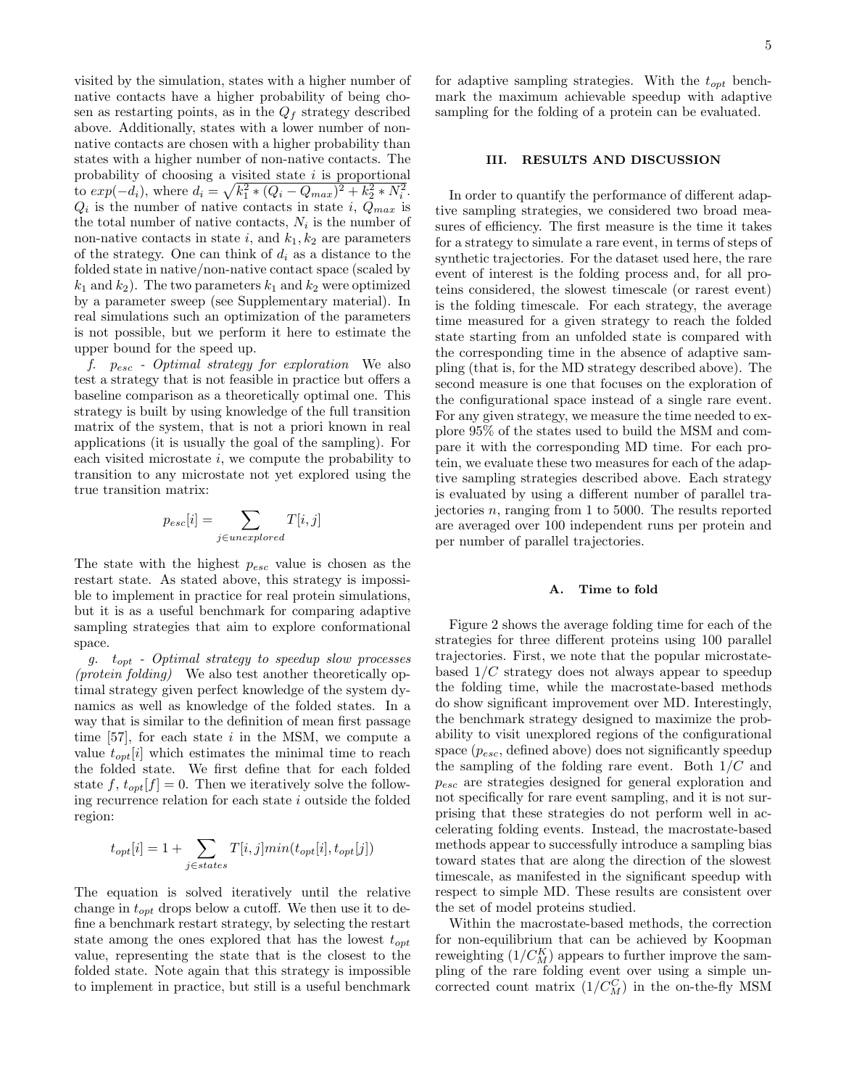visited by the simulation, states with a higher number of native contacts have a higher probability of being chosen as restarting points, as in the  $Q_f$  strategy described above. Additionally, states with a lower number of nonnative contacts are chosen with a higher probability than states with a higher number of non-native contacts. The probability of choosing a visited state  $i$  is proportional to  $exp(-d_i)$ , where  $d_i = \sqrt{k_1^2 * (Q_i - Q_{max})^2 + k_2^2 * N_i^2}$ .  $Q_i$  is the number of native contacts in state i,  $Q_{max}$  is the total number of native contacts,  $N_i$  is the number of non-native contacts in state i, and  $k_1, k_2$  are parameters of the strategy. One can think of  $d_i$  as a distance to the folded state in native/non-native contact space (scaled by  $k_1$  and  $k_2$ ). The two parameters  $k_1$  and  $k_2$  were optimized by a parameter sweep (see Supplementary material). In real simulations such an optimization of the parameters is not possible, but we perform it here to estimate the upper bound for the speed up.

f.  $p_{esc}$  - Optimal strategy for exploration. We also test a strategy that is not feasible in practice but offers a baseline comparison as a theoretically optimal one. This strategy is built by using knowledge of the full transition matrix of the system, that is not a priori known in real applications (it is usually the goal of the sampling). For each visited microstate  $i$ , we compute the probability to transition to any microstate not yet explored using the true transition matrix:

$$
p_{esc}[i] = \sum_{j \in unexplored} T[i, j]
$$

The state with the highest  $p_{esc}$  value is chosen as the restart state. As stated above, this strategy is impossible to implement in practice for real protein simulations, but it is as a useful benchmark for comparing adaptive sampling strategies that aim to explore conformational space.

g.  $t_{opt}$  - Optimal strategy to speedup slow processes (protein folding) We also test another theoretically optimal strategy given perfect knowledge of the system dynamics as well as knowledge of the folded states. In a way that is similar to the definition of mean first passage time  $[57]$ , for each state i in the MSM, we compute a value  $t_{opt}[i]$  which estimates the minimal time to reach the folded state. We first define that for each folded state f,  $t_{opt}[f] = 0$ . Then we iteratively solve the following recurrence relation for each state i outside the folded region:

$$
t_{opt}[i] = 1 + \sum_{j \in states} T[i, j]min(t_{opt}[i], t_{opt}[j])
$$

The equation is solved iteratively until the relative change in  $t_{opt}$  drops below a cutoff. We then use it to define a benchmark restart strategy, by selecting the restart state among the ones explored that has the lowest  $t_{opt}$ value, representing the state that is the closest to the folded state. Note again that this strategy is impossible to implement in practice, but still is a useful benchmark

for adaptive sampling strategies. With the  $t_{opt}$  benchmark the maximum achievable speedup with adaptive sampling for the folding of a protein can be evaluated.

# III. RESULTS AND DISCUSSION

In order to quantify the performance of different adaptive sampling strategies, we considered two broad measures of efficiency. The first measure is the time it takes for a strategy to simulate a rare event, in terms of steps of synthetic trajectories. For the dataset used here, the rare event of interest is the folding process and, for all proteins considered, the slowest timescale (or rarest event) is the folding timescale. For each strategy, the average time measured for a given strategy to reach the folded state starting from an unfolded state is compared with the corresponding time in the absence of adaptive sampling (that is, for the MD strategy described above). The second measure is one that focuses on the exploration of the configurational space instead of a single rare event. For any given strategy, we measure the time needed to explore 95% of the states used to build the MSM and compare it with the corresponding MD time. For each protein, we evaluate these two measures for each of the adaptive sampling strategies described above. Each strategy is evaluated by using a different number of parallel trajectories *n*, ranging from 1 to 5000. The results reported are averaged over 100 independent runs per protein and per number of parallel trajectories.

### A. Time to fold

Figure 2 shows the average folding time for each of the strategies for three different proteins using 100 parallel trajectories. First, we note that the popular microstatebased  $1/C$  strategy does not always appear to speedup the folding time, while the macrostate-based methods do show significant improvement over MD. Interestingly, the benchmark strategy designed to maximize the probability to visit unexplored regions of the configurational space  $(p_{esc},$  defined above) does not significantly speedup the sampling of the folding rare event. Both  $1/C$  and pesc are strategies designed for general exploration and not specifically for rare event sampling, and it is not surprising that these strategies do not perform well in accelerating folding events. Instead, the macrostate-based methods appear to successfully introduce a sampling bias toward states that are along the direction of the slowest timescale, as manifested in the significant speedup with respect to simple MD. These results are consistent over the set of model proteins studied.

Within the macrostate-based methods, the correction for non-equilibrium that can be achieved by Koopman reweighting  $(1/C_M^K)$  appears to further improve the sampling of the rare folding event over using a simple uncorrected count matrix  $(1/C_M^C)$  in the on-the-fly MSM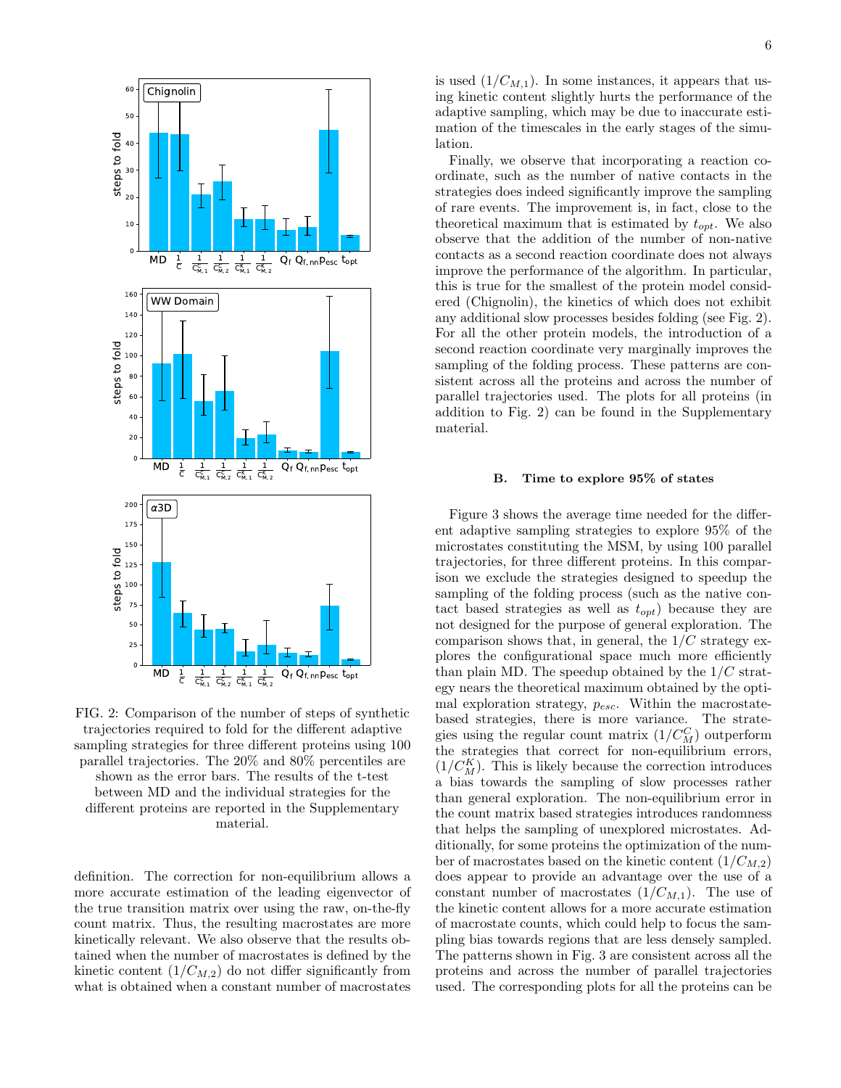

FIG. 2: Comparison of the number of steps of synthetic trajectories required to fold for the different adaptive sampling strategies for three different proteins using 100 parallel trajectories. The 20% and 80% percentiles are shown as the error bars. The results of the t-test between MD and the individual strategies for the different proteins are reported in the Supplementary material.

definition. The correction for non-equilibrium allows a more accurate estimation of the leading eigenvector of the true transition matrix over using the raw, on-the-fly count matrix. Thus, the resulting macrostates are more kinetically relevant. We also observe that the results obtained when the number of macrostates is defined by the kinetic content  $(1/C_{M,2})$  do not differ significantly from what is obtained when a constant number of macrostates

is used  $(1/C_{M,1})$ . In some instances, it appears that using kinetic content slightly hurts the performance of the adaptive sampling, which may be due to inaccurate estimation of the timescales in the early stages of the simulation.

Finally, we observe that incorporating a reaction coordinate, such as the number of native contacts in the strategies does indeed significantly improve the sampling of rare events. The improvement is, in fact, close to the theoretical maximum that is estimated by  $t_{opt}$ . We also observe that the addition of the number of non-native contacts as a second reaction coordinate does not always improve the performance of the algorithm. In particular, this is true for the smallest of the protein model considered (Chignolin), the kinetics of which does not exhibit any additional slow processes besides folding (see Fig. 2). For all the other protein models, the introduction of a second reaction coordinate very marginally improves the sampling of the folding process. These patterns are consistent across all the proteins and across the number of parallel trajectories used. The plots for all proteins (in addition to Fig. 2) can be found in the Supplementary material.

### B. Time to explore 95% of states

Figure 3 shows the average time needed for the different adaptive sampling strategies to explore 95% of the microstates constituting the MSM, by using 100 parallel trajectories, for three different proteins. In this comparison we exclude the strategies designed to speedup the sampling of the folding process (such as the native contact based strategies as well as  $t_{opt}$ ) because they are not designed for the purpose of general exploration. The comparison shows that, in general, the  $1/C$  strategy explores the configurational space much more efficiently than plain MD. The speedup obtained by the  $1/C$  strategy nears the theoretical maximum obtained by the optimal exploration strategy,  $p_{esc}$ . Within the macrostatebased strategies, there is more variance. The strategies using the regular count matrix  $(1/C_M^C)$  outperform the strategies that correct for non-equilibrium errors,  $(1/C_M^K)$ . This is likely because the correction introduces a bias towards the sampling of slow processes rather than general exploration. The non-equilibrium error in the count matrix based strategies introduces randomness that helps the sampling of unexplored microstates. Additionally, for some proteins the optimization of the number of macrostates based on the kinetic content  $(1/C_{M,2})$ does appear to provide an advantage over the use of a constant number of macrostates  $(1/C_{M,1})$ . The use of the kinetic content allows for a more accurate estimation of macrostate counts, which could help to focus the sampling bias towards regions that are less densely sampled. The patterns shown in Fig. 3 are consistent across all the proteins and across the number of parallel trajectories used. The corresponding plots for all the proteins can be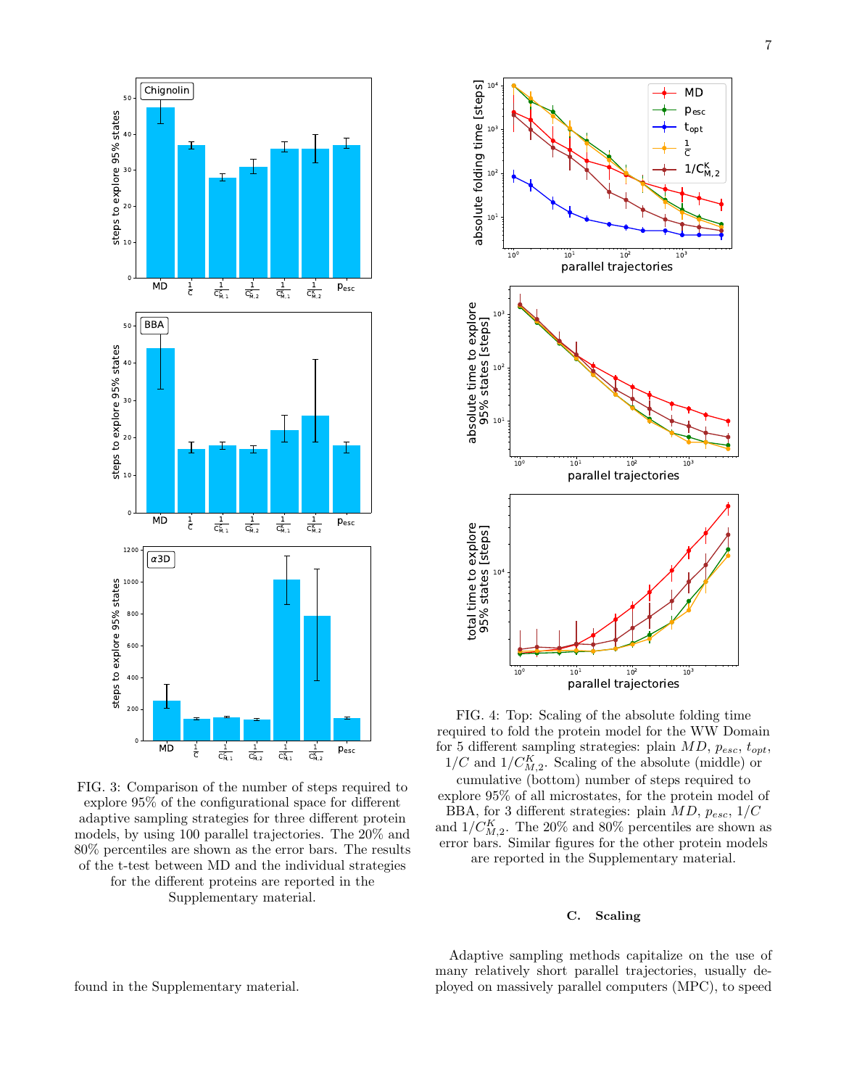

FIG. 3: Comparison of the number of steps required to explore 95% of the configurational space for different adaptive sampling strategies for three different protein models, by using 100 parallel trajectories. The 20% and 80% percentiles are shown as the error bars. The results of the t-test between MD and the individual strategies for the different proteins are reported in the Supplementary material.



FIG. 4: Top: Scaling of the absolute folding time required to fold the protein model for the WW Domain for 5 different sampling strategies: plain  $MD$ ,  $p_{esc}$ ,  $t_{opt}$ ,  $1/C$  and  $1/C_{M,2}^K$ . Scaling of the absolute (middle) or

cumulative (bottom) number of steps required to explore 95% of all microstates, for the protein model of BBA, for 3 different strategies: plain  $MD$ ,  $p_{esc}$ ,  $1/C$ and  $1/C_{M,2}^K$ . The 20% and 80% percentiles are shown as error bars. Similar figures for the other protein models are reported in the Supplementary material.

# C. Scaling

Adaptive sampling methods capitalize on the use of many relatively short parallel trajectories, usually deployed on massively parallel computers (MPC), to speed

found in the Supplementary material.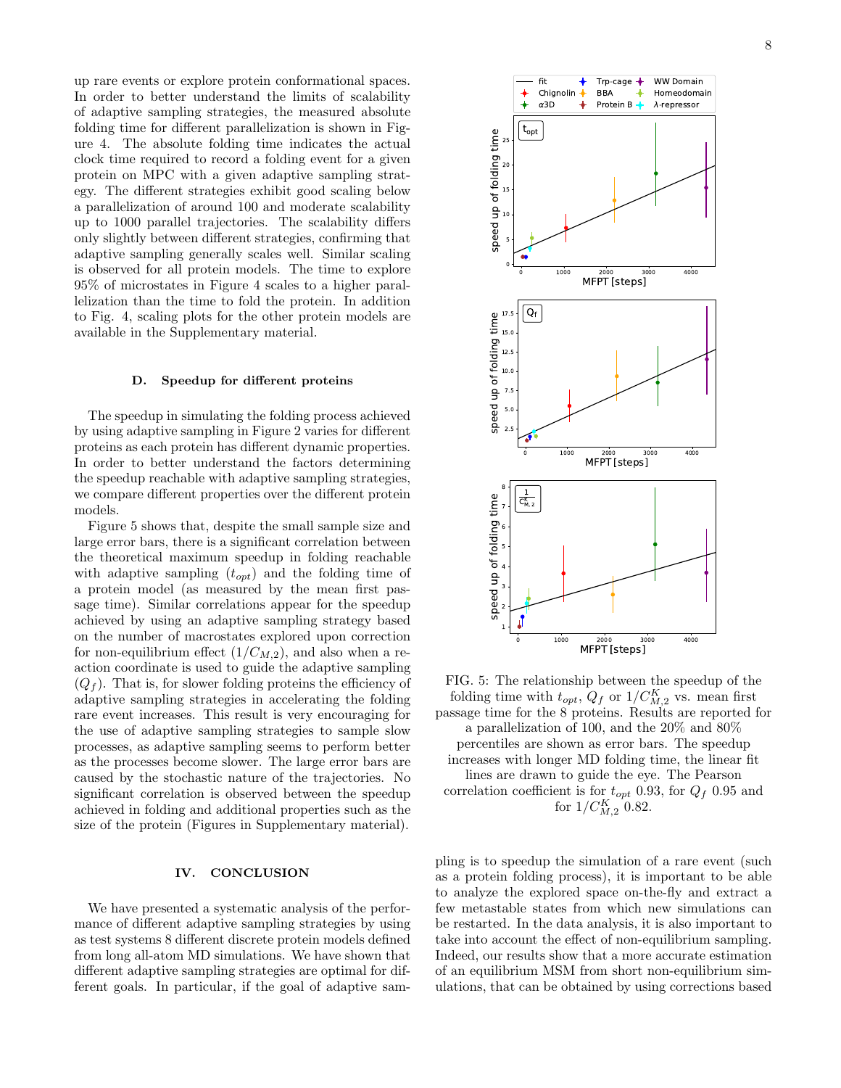up rare events or explore protein conformational spaces. In order to better understand the limits of scalability of adaptive sampling strategies, the measured absolute folding time for different parallelization is shown in Figure 4. The absolute folding time indicates the actual clock time required to record a folding event for a given protein on MPC with a given adaptive sampling strategy. The different strategies exhibit good scaling below a parallelization of around 100 and moderate scalability up to 1000 parallel trajectories. The scalability differs only slightly between different strategies, confirming that adaptive sampling generally scales well. Similar scaling is observed for all protein models. The time to explore 95% of microstates in Figure 4 scales to a higher parallelization than the time to fold the protein. In addition to Fig. 4, scaling plots for the other protein models are available in the Supplementary material.

#### D. Speedup for different proteins

The speedup in simulating the folding process achieved by using adaptive sampling in Figure 2 varies for different proteins as each protein has different dynamic properties. In order to better understand the factors determining the speedup reachable with adaptive sampling strategies, we compare different properties over the different protein models.

Figure 5 shows that, despite the small sample size and large error bars, there is a significant correlation between the theoretical maximum speedup in folding reachable with adaptive sampling  $(t_{opt})$  and the folding time of a protein model (as measured by the mean first passage time). Similar correlations appear for the speedup achieved by using an adaptive sampling strategy based on the number of macrostates explored upon correction for non-equilibrium effect  $(1/C_{M,2})$ , and also when a reaction coordinate is used to guide the adaptive sampling  $(Q_f)$ . That is, for slower folding proteins the efficiency of adaptive sampling strategies in accelerating the folding rare event increases. This result is very encouraging for the use of adaptive sampling strategies to sample slow processes, as adaptive sampling seems to perform better as the processes become slower. The large error bars are caused by the stochastic nature of the trajectories. No significant correlation is observed between the speedup achieved in folding and additional properties such as the size of the protein (Figures in Supplementary material).

## IV. CONCLUSION

We have presented a systematic analysis of the performance of different adaptive sampling strategies by using as test systems 8 different discrete protein models defined from long all-atom MD simulations. We have shown that different adaptive sampling strategies are optimal for different goals. In particular, if the goal of adaptive sam8



FIG. 5: The relationship between the speedup of the folding time with  $t_{opt}$ ,  $Q_f$  or  $1/C_{M,2}^K$  vs. mean first passage time for the 8 proteins. Results are reported for a parallelization of 100, and the 20% and 80% percentiles are shown as error bars. The speedup increases with longer MD folding time, the linear fit lines are drawn to guide the eye. The Pearson correlation coefficient is for  $t_{opt}$  0.93, for  $Q_f$  0.95 and for  $1/C_{M,2}^K$  0.82.

pling is to speedup the simulation of a rare event (such as a protein folding process), it is important to be able to analyze the explored space on-the-fly and extract a few metastable states from which new simulations can be restarted. In the data analysis, it is also important to take into account the effect of non-equilibrium sampling. Indeed, our results show that a more accurate estimation of an equilibrium MSM from short non-equilibrium simulations, that can be obtained by using corrections based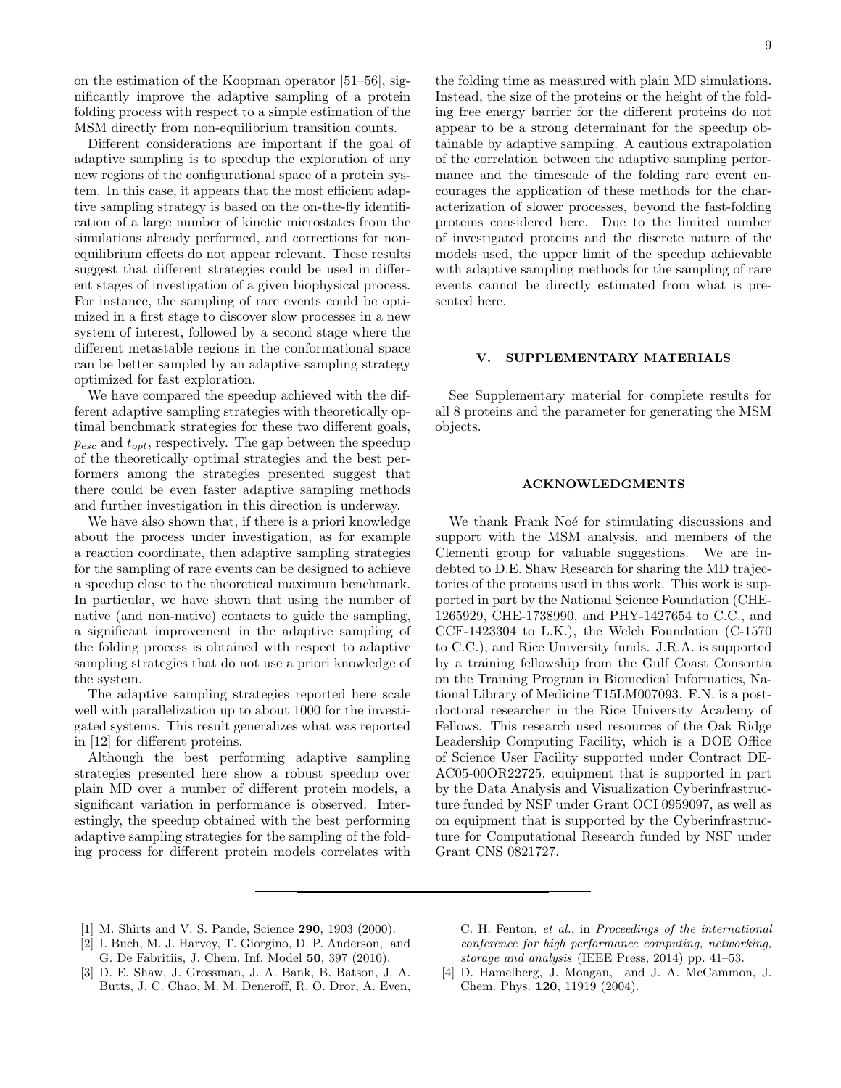on the estimation of the Koopman operator [51–56], significantly improve the adaptive sampling of a protein folding process with respect to a simple estimation of the MSM directly from non-equilibrium transition counts.

Different considerations are important if the goal of adaptive sampling is to speedup the exploration of any new regions of the configurational space of a protein system. In this case, it appears that the most efficient adaptive sampling strategy is based on the on-the-fly identification of a large number of kinetic microstates from the simulations already performed, and corrections for nonequilibrium effects do not appear relevant. These results suggest that different strategies could be used in different stages of investigation of a given biophysical process. For instance, the sampling of rare events could be optimized in a first stage to discover slow processes in a new system of interest, followed by a second stage where the different metastable regions in the conformational space can be better sampled by an adaptive sampling strategy optimized for fast exploration.

We have compared the speedup achieved with the different adaptive sampling strategies with theoretically optimal benchmark strategies for these two different goals,  $p_{esc}$  and  $t_{opt}$ , respectively. The gap between the speedup of the theoretically optimal strategies and the best performers among the strategies presented suggest that there could be even faster adaptive sampling methods and further investigation in this direction is underway.

We have also shown that, if there is a priori knowledge about the process under investigation, as for example a reaction coordinate, then adaptive sampling strategies for the sampling of rare events can be designed to achieve a speedup close to the theoretical maximum benchmark. In particular, we have shown that using the number of native (and non-native) contacts to guide the sampling, a significant improvement in the adaptive sampling of the folding process is obtained with respect to adaptive sampling strategies that do not use a priori knowledge of the system.

The adaptive sampling strategies reported here scale well with parallelization up to about 1000 for the investigated systems. This result generalizes what was reported in [12] for different proteins.

Although the best performing adaptive sampling strategies presented here show a robust speedup over plain MD over a number of different protein models, a significant variation in performance is observed. Interestingly, the speedup obtained with the best performing adaptive sampling strategies for the sampling of the folding process for different protein models correlates with

the folding time as measured with plain MD simulations. Instead, the size of the proteins or the height of the folding free energy barrier for the different proteins do not appear to be a strong determinant for the speedup obtainable by adaptive sampling. A cautious extrapolation of the correlation between the adaptive sampling performance and the timescale of the folding rare event encourages the application of these methods for the characterization of slower processes, beyond the fast-folding proteins considered here. Due to the limited number of investigated proteins and the discrete nature of the models used, the upper limit of the speedup achievable with adaptive sampling methods for the sampling of rare events cannot be directly estimated from what is presented here.

#### V. SUPPLEMENTARY MATERIALS

See Supplementary material for complete results for all 8 proteins and the parameter for generating the MSM objects.

### ACKNOWLEDGMENTS

We thank Frank Noé for stimulating discussions and support with the MSM analysis, and members of the Clementi group for valuable suggestions. We are indebted to D.E. Shaw Research for sharing the MD trajectories of the proteins used in this work. This work is supported in part by the National Science Foundation (CHE-1265929, CHE-1738990, and PHY-1427654 to C.C., and CCF-1423304 to L.K.), the Welch Foundation (C-1570 to C.C.), and Rice University funds. J.R.A. is supported by a training fellowship from the Gulf Coast Consortia on the Training Program in Biomedical Informatics, National Library of Medicine T15LM007093. F.N. is a postdoctoral researcher in the Rice University Academy of Fellows. This research used resources of the Oak Ridge Leadership Computing Facility, which is a DOE Office of Science User Facility supported under Contract DE-AC05-00OR22725, equipment that is supported in part by the Data Analysis and Visualization Cyberinfrastructure funded by NSF under Grant OCI 0959097, as well as on equipment that is supported by the Cyberinfrastructure for Computational Research funded by NSF under Grant CNS 0821727.

- [1] M. Shirts and V. S. Pande, Science **290**, 1903 (2000).
- [2] I. Buch, M. J. Harvey, T. Giorgino, D. P. Anderson, and G. De Fabritiis, J. Chem. Inf. Model 50, 397 (2010).
- [3] D. E. Shaw, J. Grossman, J. A. Bank, B. Batson, J. A. Butts, J. C. Chao, M. M. Deneroff, R. O. Dror, A. Even,

C. H. Fenton, et al., in Proceedings of the international conference for high performance computing, networking, storage and analysis (IEEE Press, 2014) pp. 41–53.

[4] D. Hamelberg, J. Mongan, and J. A. McCammon, J. Chem. Phys. 120, 11919 (2004).